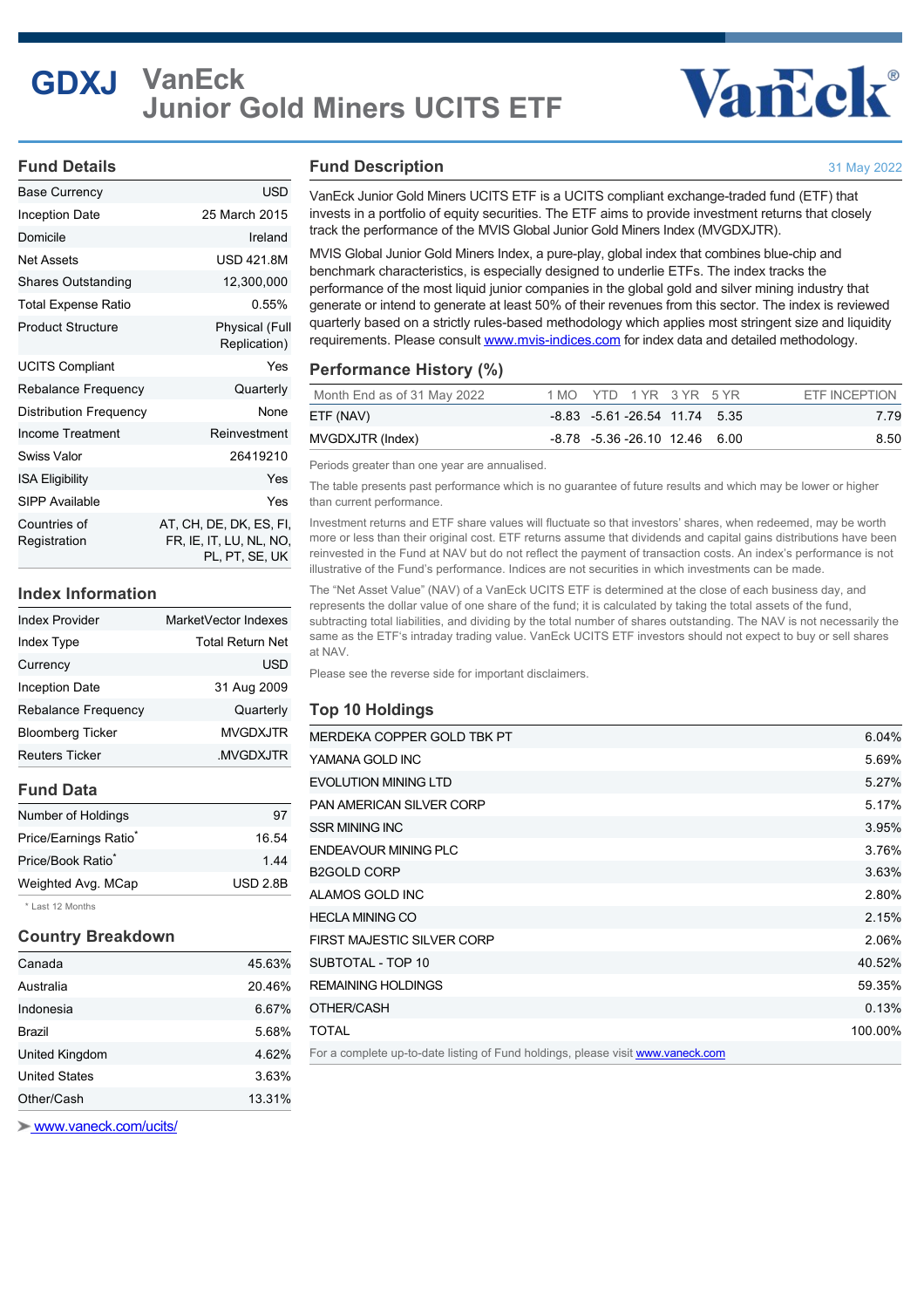## **GDXJ VanEck Junior Gold Miners UCITS ETF**

## Vancok®

#### **Fund Details**

| <b>Base Currency</b>         | <b>USD</b>                                                           |
|------------------------------|----------------------------------------------------------------------|
| Inception Date               | 25 March 2015                                                        |
| Domicile                     | Ireland                                                              |
| Net Assets                   | <b>USD 421.8M</b>                                                    |
| <b>Shares Outstanding</b>    | 12,300,000                                                           |
| Total Expense Ratio          | 0.55%                                                                |
| <b>Product Structure</b>     | <b>Physical (Full</b><br>Replication)                                |
| <b>UCITS Compliant</b>       | Yes                                                                  |
| Rebalance Frequency          | Quarterly                                                            |
| Distribution Frequency       | None                                                                 |
| Income Treatment             | Reinvestment                                                         |
| Swiss Valor                  | 26419210                                                             |
| <b>ISA Eligibility</b>       | Yes                                                                  |
| SIPP Available               | Yes                                                                  |
| Countries of<br>Registration | AT, CH, DE, DK, ES, FI,<br>FR. IE, IT, LU, NL, NO,<br>PL, PT, SE, UK |

#### **Index Information**

| <b>Index Provider</b>      | MarketVector Indexes |
|----------------------------|----------------------|
| Index Type                 | Total Return Net     |
| Currency                   | USD                  |
| <b>Inception Date</b>      | 31 Aug 2009          |
| <b>Rebalance Frequency</b> | Quarterly            |
| <b>Bloomberg Ticker</b>    | <b>MVGDXJTR</b>      |
| <b>Reuters Ticker</b>      | .MVGDXJTR            |

#### **Fund Data**

| Number of Holdings                | 97              |
|-----------------------------------|-----------------|
| Price/Earnings Ratio <sup>*</sup> | 16.54           |
| Price/Book Ratio <sup>*</sup>     | 1.44            |
| Weighted Avg. MCap                | <b>USD 2.8B</b> |
|                                   |                 |

\* Last 12 Months

#### **Country Breakdown**

| Canada               | 45.63% |
|----------------------|--------|
| Australia            | 20.46% |
| Indonesia            | 6.67%  |
| <b>Brazil</b>        | 5.68%  |
| United Kingdom       | 4.62%  |
| <b>United States</b> | 3.63%  |
| Other/Cash           | 13.31% |

 [www.vaneck.com/ucits/](http://www.vaneck.com/ucits/)

#### **Fund Description**

31 May 2022

VanEck Junior Gold Miners UCITS ETF is a UCITS compliant exchange-traded fund (ETF) that invests in a portfolio of equity securities. The ETF aims to provide investment returns that closely track the performance of the MVIS Global Junior Gold Miners Index (MVGDXJTR).

MVIS Global Junior Gold Miners Index, a pure-play, global index that combines blue-chip and benchmark characteristics, is especially designed to underlie ETFs. The index tracks the performance of the most liquid junior companies in the global gold and silver mining industry that generate or intend to generate at least 50% of their revenues from this sector. The index is reviewed quarterly based on a strictly rules-based methodology which applies most stringent size and liquidity requirements. Please consult [www.mvis-indices.com](http://www.mvis-indices.com/) for index data and detailed methodology.

#### **Performance History (%)**

| Month End as of 31 May 2022 | 1 MO YTD 1 YR 3 YR 5 YR             | ETF INCEPTION |
|-----------------------------|-------------------------------------|---------------|
| ETF (NAV)                   | $-8.83$ $-5.61$ $-26.54$ 11.74 5.35 | 7.79          |
| MVGDXJTR (Index)            | -8.78 -5.36 -26.10 12.46 6.00       | 8.50          |

Periods greater than one year are annualised.

The table presents past performance which is no guarantee of future results and which may be lower or higher than current performance.

Investment returns and ETF share values will fluctuate so that investors' shares, when redeemed, may be worth more or less than their original cost. ETF returns assume that dividends and capital gains distributions have been reinvested in the Fund at NAV but do not reflect the payment of transaction costs. An index's performance is not illustrative of the Fund's performance. Indices are not securities in which investments can be made.

The "Net Asset Value" (NAV) of a VanEck UCITS ETF is determined at the close of each business day, and represents the dollar value of one share of the fund; it is calculated by taking the total assets of the fund, subtracting total liabilities, and dividing by the total number of shares outstanding. The NAV is not necessarily the same as the ETF's intraday trading value. VanEck UCITS ETF investors should not expect to buy or sell shares at NAV.

Please see the reverse side for important disclaimers.

#### **Top 10 Holdings**

| MERDEKA COPPER GOLD TBK PT                                                      | 6.04%   |
|---------------------------------------------------------------------------------|---------|
|                                                                                 |         |
| YAMANA GOLD INC                                                                 | 5.69%   |
| <b>EVOLUTION MINING LTD</b>                                                     | 5.27%   |
| <b>PAN AMERICAN SILVER CORP</b>                                                 | 5.17%   |
| <b>SSR MINING INC</b>                                                           | 3.95%   |
| <b>ENDEAVOUR MINING PLC</b>                                                     | 3.76%   |
| <b>B2GOLD CORP</b>                                                              | 3.63%   |
| ALAMOS GOLD INC                                                                 | 2.80%   |
| <b>HECLA MINING CO</b>                                                          | 2.15%   |
| FIRST MAJESTIC SILVER CORP                                                      | 2.06%   |
| SUBTOTAL - TOP 10                                                               | 40.52%  |
| <b>REMAINING HOLDINGS</b>                                                       | 59.35%  |
| OTHER/CASH                                                                      | 0.13%   |
| <b>TOTAL</b>                                                                    | 100.00% |
| For a complete up-to-date listing of Fund holdings, please visit www.vaneck.com |         |